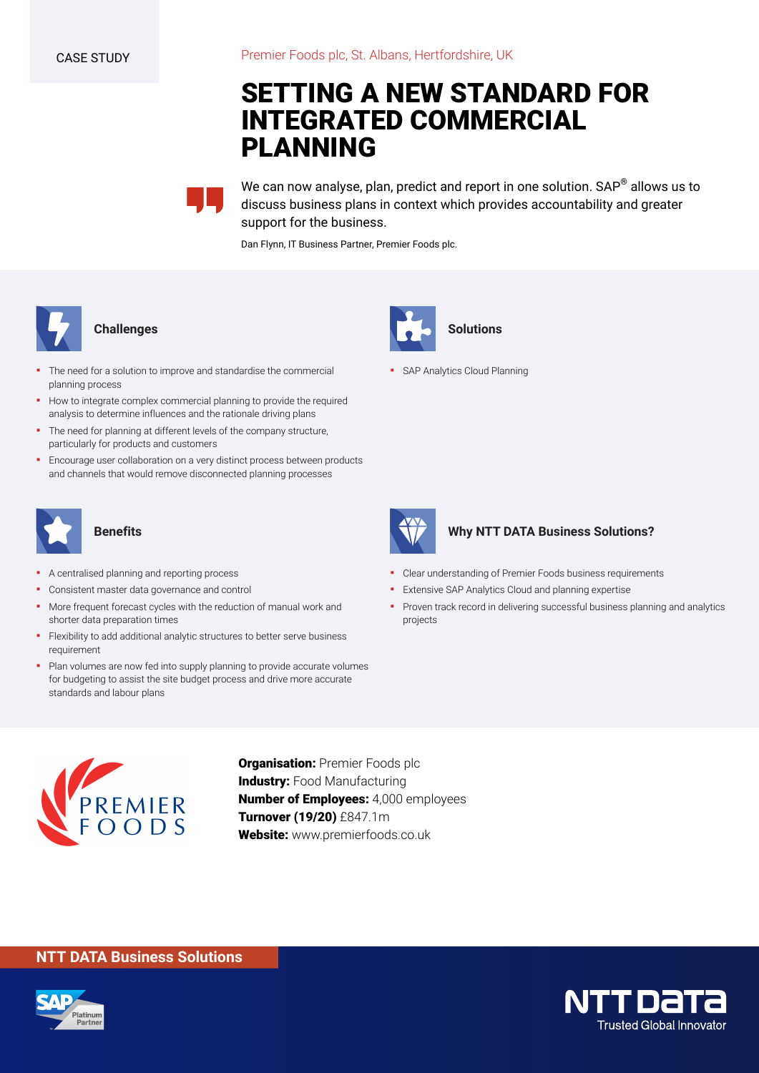# **SETTING A NEW STANDARD FOR INTEGRATED COMMERCIAL PLANNING**

We can now analyse, plan, predict and report in one solution. SAP® allows us to discuss business plans in context which provides accountability and greater support for the business.

Dan Flynn, IT Business Partner, Premier Foods plc.



#### **Challenges**

- The need for a solution to improve and standardise the commercial planning process
- How to integrate complex commercial planning to provide the required analysis to determine influences and the rationale driving plans
- The need for planning at different levels of the company structure, particularly for products and customers
- **Encourage user collaboration on a very distinct process between products** and channels that would remove disconnected planning processes



## **Benefits**

- A centralised planning and reporting process
- Consistent master data governance and control
- More frequent forecast cycles with the reduction of manual work and shorter data preparation times
- **•** Flexibility to add additional analytic structures to better serve business requirement
- Plan volumes are now fed into supply planning to provide accurate volumes for budgeting to assist the site budget process and drive more accurate standards and labour plans



**• SAP Analytics Cloud Planning** 



## **Why NTT DATA Business Solutions?**

- Clear understanding of Premier Foods business requirements
- **Extensive SAP Analytics Cloud and planning expertise**
- Proven track record in delivering successful business planning and analytics projects



**Organisation:** Premier Foods plc **Industry: Food Manufacturing Number of Employees:** 4,000 employees **Turnover (19/20)** £847.1m **Website:** www.premierfoods.co.uk

## **NTT DATA Business Solutions**